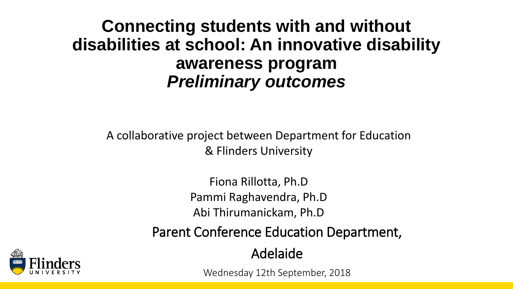#### **Connecting students with and without disabilities at school: An innovative disability awareness program** *Preliminary outcomes*

A collaborative project between Department for Education & Flinders University

> Fiona Rillotta, Ph.D Pammi Raghavendra, Ph.D Abi Thirumanickam, Ph.D

Parent Conference Education Department,

Adelaide

Wednesday 12th September, 2018

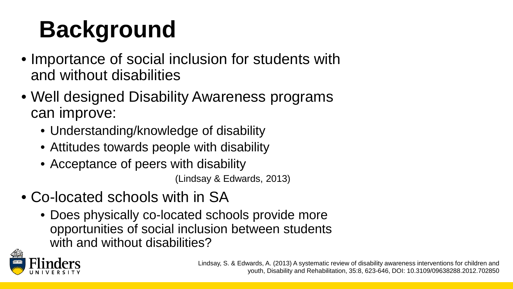# **Background**

- Importance of social inclusion for students with and without disabilities
- Well designed Disability Awareness programs can improve:
	- Understanding/knowledge of disability
	- Attitudes towards people with disability
	- Acceptance of peers with disability

(Lindsay & Edwards, 2013)

- Co-located schools with in SA
	- Does physically co-located schools provide more opportunities of social inclusion between students with and without disabilities?

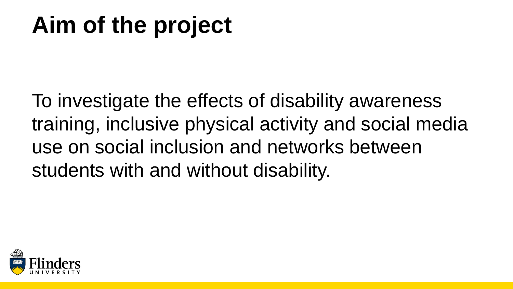### **Aim of the project**

To investigate the effects of disability awareness training, inclusive physical activity and social media use on social inclusion and networks between students with and without disability.

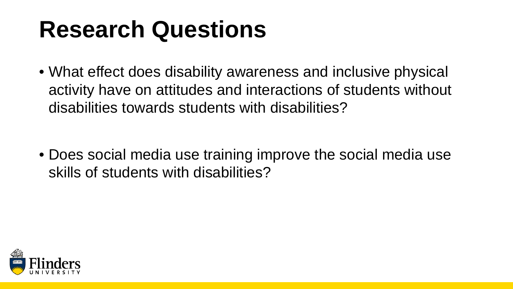#### **Research Questions**

• What effect does disability awareness and inclusive physical activity have on attitudes and interactions of students without disabilities towards students with disabilities?

• Does social media use training improve the social media use skills of students with disabilities?

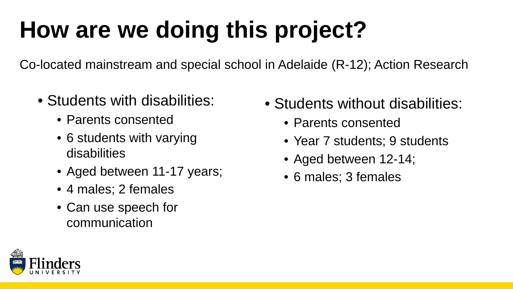# **How are we doing this project?**

Co-located mainstream and special school in Adelaide (R-12); Action Research

- Students with disabilities:
	- Parents consented
	- 6 students with varying disabilities
	- Aged between 11-17 years;
	- 4 males; 2 females
	- Can use speech for communication
- Students without disabilities:
	- Parents consented
	- Year 7 students; 9 students
	- Aged between 12-14;
	- 6 males; 3 females

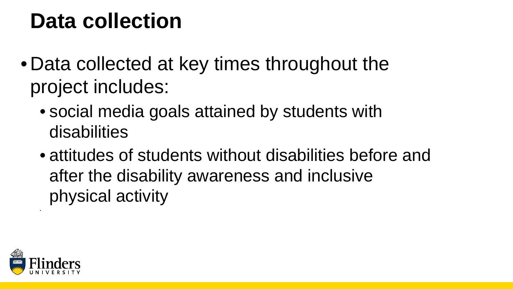#### **Data collection**

- Data collected at key times throughout the project includes:
	- social media goals attained by students with disabilities
	- attitudes of students without disabilities before and after the disability awareness and inclusive physical activity



•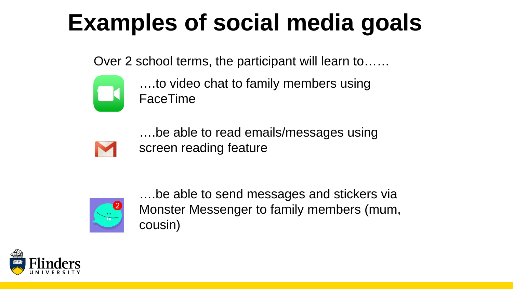# **Examples of social media goals**

Over 2 school terms, the participant will learn to……



….to video chat to family members using FaceTime

….be able to read emails/messages using screen reading feature



….be able to send messages and stickers via Monster Messenger to family members (mum, cousin)

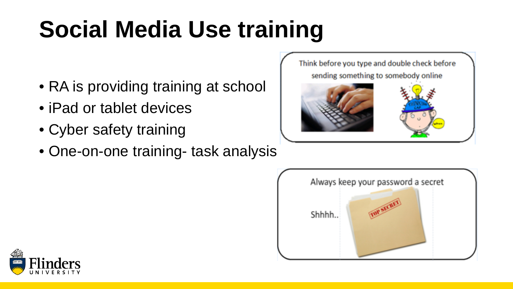# **Social Media Use training**

- RA is providing training at school
- iPad or tablet devices
- Cyber safety training
- One-on-one training- task analysis





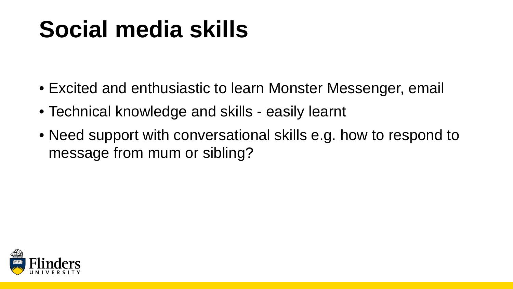## **Social media skills**

- Excited and enthusiastic to learn Monster Messenger, email
- Technical knowledge and skills easily learnt
- Need support with conversational skills e.g. how to respond to message from mum or sibling?

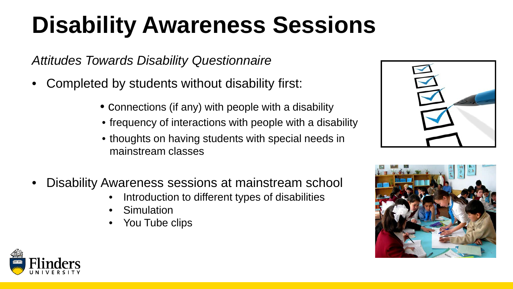# **Disability Awareness Sessions**

*Attitudes Towards Disability Questionnaire*

- Completed by students without disability first:
	- Connections (if any) with people with a disability
	- frequency of interactions with people with a disability
	- thoughts on having students with special needs in mainstream classes
- Disability Awareness sessions at mainstream school
	- Introduction to different types of disabilities
	- **Simulation**
	- You Tube clips





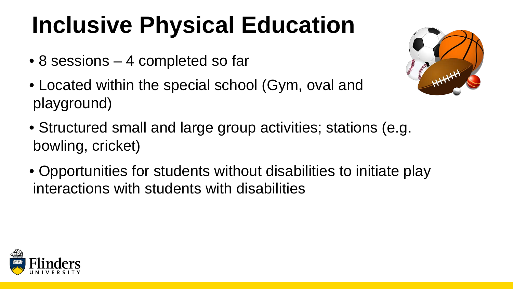# **Inclusive Physical Education**

- 8 sessions 4 completed so far
- Located within the special school (Gym, oval and playground)
- 
- Structured small and large group activities; stations (e.g. bowling, cricket)
- Opportunities for students without disabilities to initiate play interactions with students with disabilities

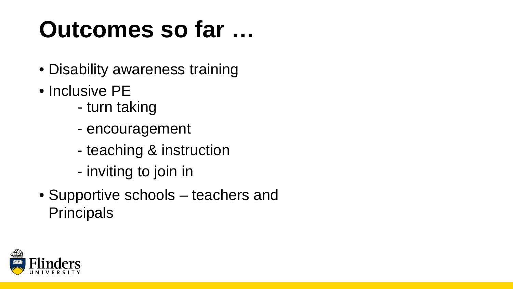## **Outcomes so far …**

- Disability awareness training
- Inclusive PE
	- turn taking
	- encouragement
	- teaching & instruction
	- inviting to join in
- Supportive schools teachers and **Principals**

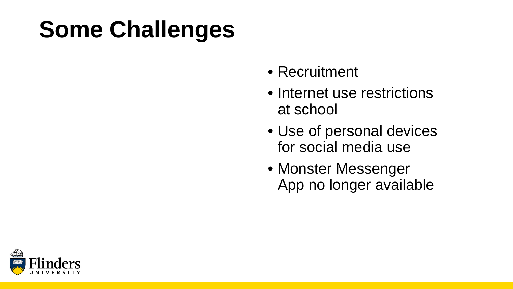# **Some Challenges**

- Recruitment
- Internet use restrictions at school
- Use of personal devices for social media use
- Monster Messenger App no longer available